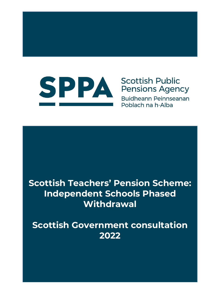

## **Scottish Public Pensions Agency**

**Buidheann Peinnseanan** Poblach na h-Alba

# **Scottish Teachers' Pension Scheme: Independent Schools Phased Withdrawal**

**Scottish Government consultation 2022**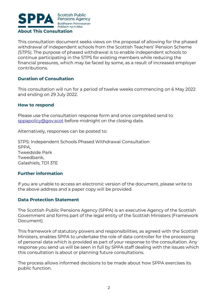

This consultation document seeks views on the proposal of allowing for the phased withdrawal of independent schools from the Scottish Teachers' Pension Scheme (STPS). The purpose of phased withdrawal is to enable independent schools to continue participating in the STPS for existing members while reducing the financial pressures, which may be faced by some, as a result of increased employer contributions.

#### **Duration of Consultation**

This consultation will run for a period of twelve weeks commencing on 6 May 2022 and ending on 29 July 2022.

#### **How to respond**

Please use the consultation response form and once completed send to [sppapolicy@gov.scot](mailto:sppapolicy@gov.scot) before midnight on the closing date.

Alternatively, responses can be posted to:

STPS: Independent Schools Phased Withdrawal Consultation SPPA, Tweedside Park Tweedbank, Galashiels, TD1 3TE

#### **Further information**

If you are unable to access an electronic version of the document, please write to the above address and a paper copy will be provided.

#### **Data Protection Statement**

The Scottish Public Pensions Agency (SPPA) is an executive Agency of the Scottish Government and forms part of the legal entity of the Scottish Ministers (Framework Document).

This framework of statutory powers and responsibilities, as agreed with the Scottish Ministers, enables SPPA to undertake the role of data controller for the processing of personal data which is provided as part of your response to the consultation. Any response you send us will be seen in full by SPPA staff dealing with the issues which this consultation is about or planning future consultations.

The process allows informed decisions to be made about how SPPA exercises its public function.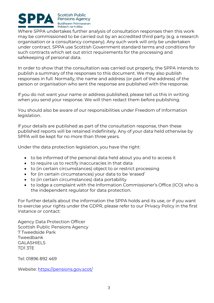

Where SPPA undertakes further analysis of consultation responses then this work may be commissioned to be carried out by an accredited third party (e.g. a research organisation or a consultancy company). Any such work will only be undertaken under contract. SPPA use Scottish Government standard terms and conditions for such contracts which set out strict requirements for the processing and safekeeping of personal data.

In order to show that the consultation was carried out properly, the SPPA intends to publish a summary of the responses to this document. We may also publish responses in full. Normally, the name and address (or part of the address) of the person or organisation who sent the response are published with the response.

If you do not want your name or address published, please tell us this in writing when you send your response. We will then redact them before publishing.

You should also be aware of our responsibilities under Freedom of Information legislation.

If your details are published as part of the consultation response, then these published reports will be retained indefinitely. Any of your data held otherwise by SPPA will be kept for no more than three years.

Under the data protection legislation, you have the right:

- to be informed of the personal data held about you and to access it
- to require us to rectify inaccuracies in that data
- to (in certain circumstances) object to or restrict processing
- for (in certain circumstances) your data to be 'erased'
- to (in certain circumstances) data portability
- to lodge a complaint with the Information Commissioner's Office (ICO) who is the independent regulator for data protection.

For further details about the information the SPPA holds and its use, or if you want to exercise your rights under the GDPR, please refer to our Privacy Policy in the first instance or contact:

Agency Data Protection Officer Scottish Public Pensions Agency 7 Tweedside Park Tweedbank GALASHIELS TD1 3TE

Tel: 01896 892 469

Website:<https://pensions.gov.scot/>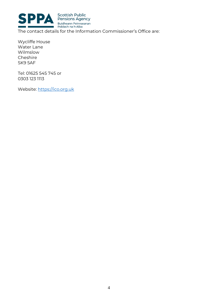

Wycliffe House Water Lane Wilmslow Cheshire SK9 5AF

Tel: 01625 545 745 or 0303 123 1113

Website: [https://ico.org.uk](https://ico.org.uk/)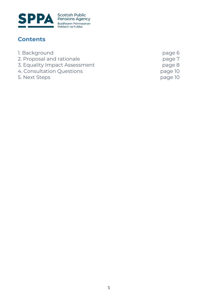

### **Contents**

- 
- 1. Background<br>
2. Proposal and rationale<br>
2. Proposal and rationale 2. Proposal and rationale
- 3. Equality Impact Assessment **Figure 2. Figure 3. Equality Impact Assessment**
- 4. Consultation Questions **page 10**
- 5. Next Steps **page 10**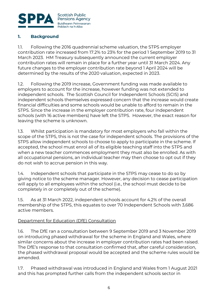

#### **1. Background**

1.1. Following the 2016 quadrennial scheme valuation, the STPS employer contribution rate increased from 17.2% to 23% for the period 1 September 2019 to 31 March 2023. HM Treasury subsequently announced the current employer contribution rates will remain in place for a further year until 31 March 2024. Any future changes to the employer contribution rate beyond 1 April 2024 will be determined by the results of the 2020 valuation, expected in 2023.

1.2. Following the 2019 increase, Government funding was made available to employers to account for the increase, however funding was not extended to independent schools. The Scottish Council for Independent Schools (SCIS) and independent schools themselves expressed concern that the increase would create financial difficulties and some schools would be unable to afford to remain in the STPS. Since the increase in the employer contribution rate, four independent schools (with 16 active members) have left the STPS. However, the exact reason for leaving the scheme is unknown.

1.3. Whilst participation is mandatory for most employers who fall within the scope of the STPS, this is not the case for independent schools. The provisions of the STPS allow independent schools to choose to apply to participate in the scheme. If accepted, the school must enrol all of its eligible teaching staff into the STPS and when a new teacher commences employment they must also be enrolled. As with all occupational pensions, an individual teacher may then choose to opt out if they do not wish to accrue pension in this way.

1.4. Independent schools that participate in the STPS may cease to do so by giving notice to the scheme manager. However, any decision to cease participation will apply to all employees within the school (i.e., the school must decide to be completely in or completely out of the scheme).

1.5. As at 31 March 2022, independent schools account for 4.2% of the overall membership of the STPS, this equates to over 70 Independent Schools with 3,686 active members.

#### Department for Education (DfE) Consultation

1.6. The DfE ran a consultation between 9 September 2019 and 3 November 2019 on introducing phased withdrawal for the scheme in England and Wales, where similar concerns about the increase in employer contribution rates had been raised. The DfE's response to that consultation confirmed that, after careful consideration, the phased withdrawal proposal would be accepted and the scheme rules would be amended.

1.7. Phased withdrawal was introduced in England and Wales from 1 August 2021 and this has prompted further calls from the independent schools sector in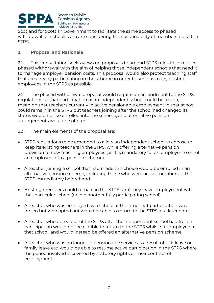

Scotland for Scottish Government to facilitate the same access to phased withdrawal for schools who are considering the sustainability of membership of the STPS.

#### **2. Proposal and Rationale**

2.1. This consultation seeks views on proposals to amend STPS rules to introduce phased withdrawal with the aim of helping those independent schools that need it to manage employer pension costs. This proposal would also protect teaching staff that are already participating in the scheme in order to keep as many existing employees in the STPS as possible.

2.2. The phased withdrawal proposal would require an amendment to the STPS regulations so that participation of an independent school could be frozen, meaning that teachers currently in active pensionable employment in that school could remain in the STPS but teachers joining after the school had changed its status would not be enrolled into the scheme, and alternative pension arrangements would be offered.

- 2.3. The main elements of the proposal are:
- STPS regulations to be amended to allow an independent school to choose to keep its existing teachers in the STPS, while offering alternative pension provision to new teaching employees (as it is mandatory for an employer to enrol an employee into a pension scheme).
- A teacher joining a school that had made this choice would be enrolled in an alternative pension scheme, including those who were active members of the STPS immediately beforehand.
- Existing members could remain in the STPS until they leave employment with that particular school (or join another fully participating school).
- A teacher who was employed by a school at the time that participation was frozen but who opted out would be able to return to the STPS at a later date.
- A teacher who opted out of the STPS after the independent school had frozen participation would not be eligible to return to the STPS whilst still employed at that school, and would instead be offered an alternative pension scheme.
- A teacher who was no longer in pensionable service as a result of sick leave or family leave etc. would be able to resume active participation in the STPS where the period involved is covered by statutory rights or their contract of employment.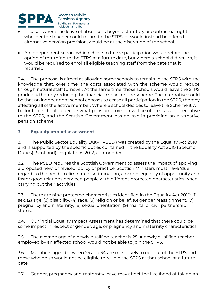

- In cases where the leave of absence is beyond statutory or contractual rights, whether the teacher could return to the STPS, or would instead be offered alternative pension provision, would be at the discretion of the school.
- An independent school which chose to freeze participation would retain the option of returning to the STPS at a future date, but where a school did return, it would be required to enrol all eligible teaching staff from the date that it returned.

2.4. The proposal is aimed at allowing some schools to remain in the STPS with the knowledge that, over time, the costs associated with the scheme would reduce through natural staff turnover. At the same time, those schools would leave the STPS gradually thereby reducing the financial impact on the scheme. The alternative could be that an independent school chooses to cease all participation in the STPS, thereby affecting all of the active member. Where a school decides to leave the Scheme it will be for that school to decide what pension provision will be offered as an alternative to the STPS, and the Scottish Government has no role in providing an alternative pension scheme.

#### **3. Equality impact assessment**

3.1. The Public Sector Equality Duty ('PSED') was created by the Equality Act 2010 and is supported by the specific duties contained in the Equality Act 2010 (Specific Duties) (Scotland) Regulations 2012, as amended.

3.2. The PSED requires the Scottish Government to assess the impact of applying a proposed new, or revised, policy or practice. Scottish Ministers must have 'due regard' to the need to eliminate discrimination, advance equality of opportunity and foster good relations between people with different protected characteristics when carrying out their activities.

3.3. There are nine protected characteristics identified in the Equality Act 2010: (1) sex, (2) age, (3) disability, (4) race, (5) religion or belief, (6) gender reassignment, (7) pregnancy and maternity, (8) sexual orientation, (9) marital or civil partnership status.

3.4. Our initial Equality Impact Assessment has determined that there could be some impact in respect of gender, age, or pregnancy and maternity characteristics.

3.5. The average age of a newly qualified teacher is 25. A newly qualified teacher employed by an affected school would not be able to join the STPS.

3.6. Members aged between 25 and 34 are most likely to opt out of the STPS and those who do so would not be eligible to re-join the STPS at that school at a future date.

3.7. Gender, pregnancy and maternity leave may affect the likelihood of taking an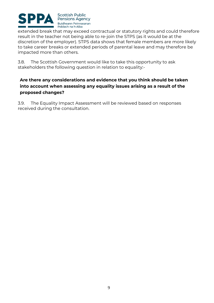

extended break that may exceed contractual or statutory rights and could therefore result in the teacher not being able to re-join the STPS (as it would be at the discretion of the employer). STPS data shows that female members are more likely to take career breaks or extended periods of parental leave and may therefore be impacted more than others.

3.8. The Scottish Government would like to take this opportunity to ask stakeholders the following question in relation to equality:-

#### **Are there any considerations and evidence that you think should be taken into account when assessing any equality issues arising as a result of the proposed changes?**

3.9. The Equality Impact Assessment will be reviewed based on responses received during the consultation.